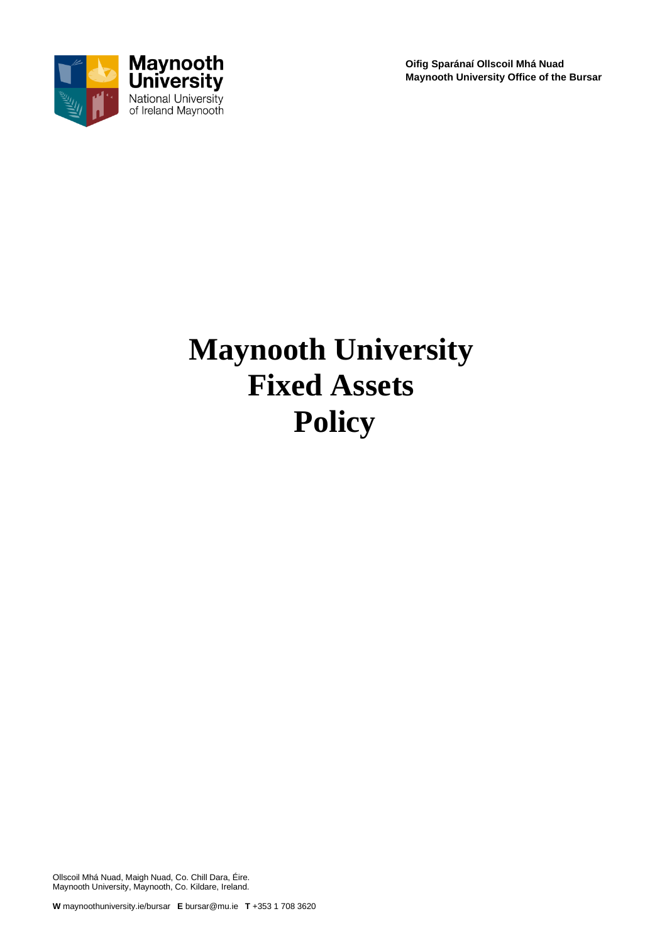

**Oifig Sparánaí Ollscoil Mhá Nuad Maynooth University Office of the Bursar**

# **Maynooth University Fixed Assets Policy**

Ollscoil Mhá Nuad, Maigh Nuad, Co. Chill Dara, Éire. Maynooth University, Maynooth, Co. Kildare, Ireland.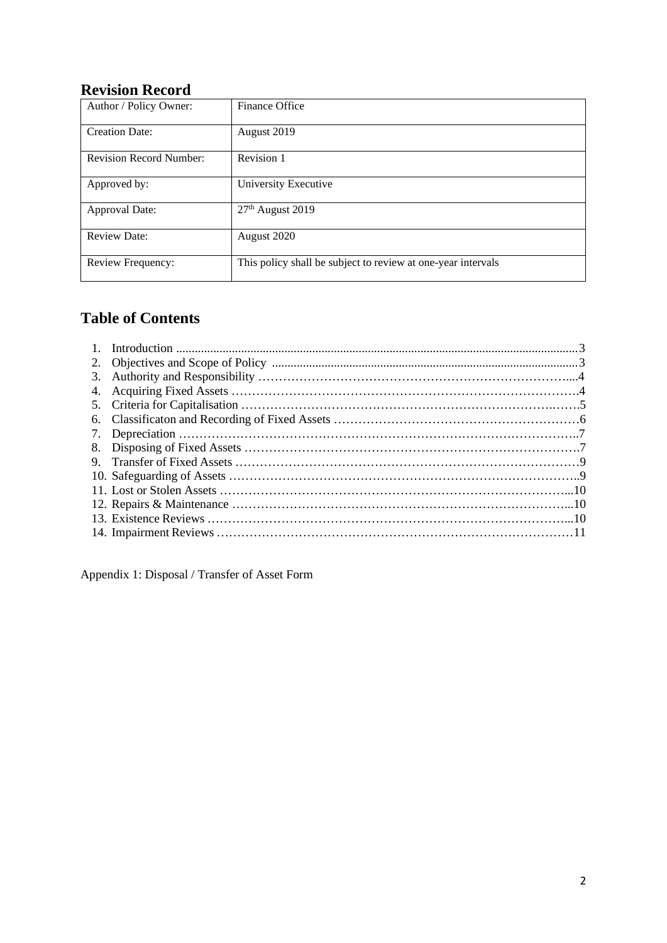#### **Revision Record**

| Author / Policy Owner:                                                            | Finance Office               |
|-----------------------------------------------------------------------------------|------------------------------|
| <b>Creation Date:</b>                                                             | August 2019                  |
| <b>Revision Record Number:</b>                                                    | Revision 1                   |
| Approved by:                                                                      | University Executive         |
| <b>Approval Date:</b>                                                             | 27 <sup>th</sup> August 2019 |
| <b>Review Date:</b>                                                               | August 2020                  |
| This policy shall be subject to review at one-year intervals<br>Review Frequency: |                              |

# **Table of Contents**

Appendix 1: Disposal / Transfer of Asset Form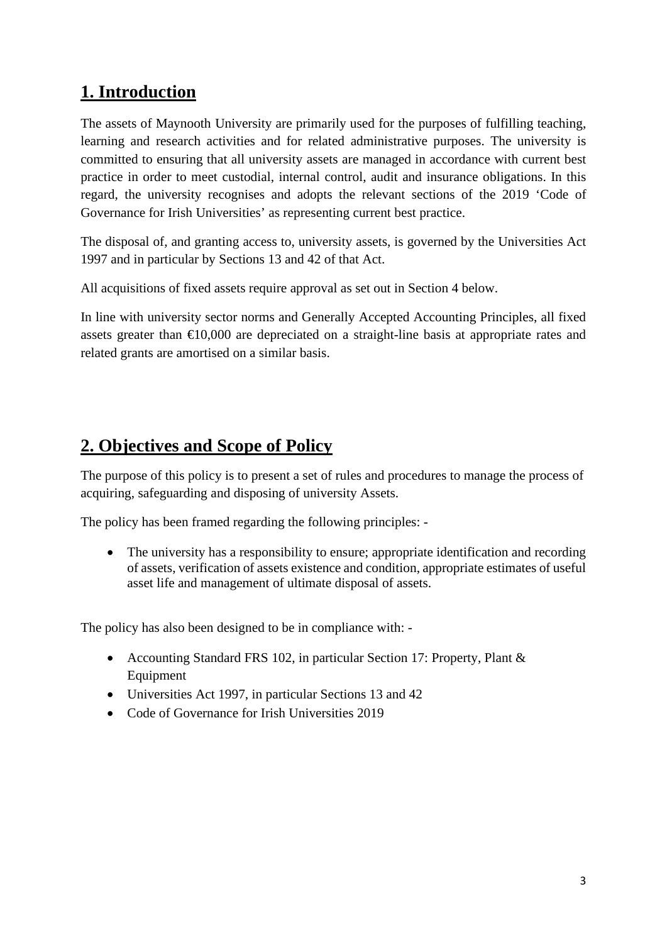# **1. Introduction**

The assets of Maynooth University are primarily used for the purposes of fulfilling teaching, learning and research activities and for related administrative purposes. The university is committed to ensuring that all university assets are managed in accordance with current best practice in order to meet custodial, internal control, audit and insurance obligations. In this regard, the university recognises and adopts the relevant sections of the 2019 'Code of Governance for Irish Universities' as representing current best practice.

The disposal of, and granting access to, university assets, is governed by the Universities Act 1997 and in particular by Sections 13 and 42 of that Act.

All acquisitions of fixed assets require approval as set out in Section 4 below.

In line with university sector norms and Generally Accepted Accounting Principles, all fixed assets greater than  $\epsilon 10,000$  are depreciated on a straight-line basis at appropriate rates and related grants are amortised on a similar basis.

# **2. Objectives and Scope of Policy**

The purpose of this policy is to present a set of rules and procedures to manage the process of acquiring, safeguarding and disposing of university Assets.

The policy has been framed regarding the following principles: -

• The university has a responsibility to ensure; appropriate identification and recording of assets, verification of assets existence and condition, appropriate estimates of useful asset life and management of ultimate disposal of assets.

The policy has also been designed to be in compliance with: -

- Accounting Standard FRS 102, in particular Section 17: Property, Plant & Equipment
- Universities Act 1997, in particular Sections 13 and 42
- Code of Governance for Irish Universities 2019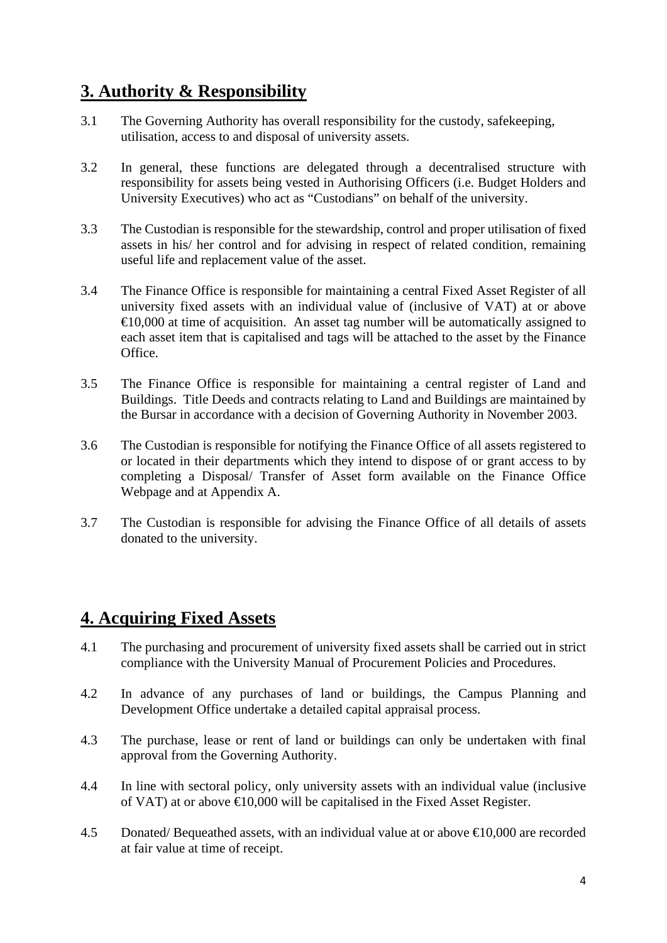# **3. Authority & Responsibility**

- 3.1 The Governing Authority has overall responsibility for the custody, safekeeping, utilisation, access to and disposal of university assets.
- 3.2 In general, these functions are delegated through a decentralised structure with responsibility for assets being vested in Authorising Officers (i.e. Budget Holders and University Executives) who act as "Custodians" on behalf of the university.
- 3.3 The Custodian is responsible for the stewardship, control and proper utilisation of fixed assets in his/ her control and for advising in respect of related condition, remaining useful life and replacement value of the asset.
- 3.4 The Finance Office is responsible for maintaining a central Fixed Asset Register of all university fixed assets with an individual value of (inclusive of VAT) at or above  $\epsilon$ 10,000 at time of acquisition. An asset tag number will be automatically assigned to each asset item that is capitalised and tags will be attached to the asset by the Finance **Office**
- 3.5 The Finance Office is responsible for maintaining a central register of Land and Buildings. Title Deeds and contracts relating to Land and Buildings are maintained by the Bursar in accordance with a decision of Governing Authority in November 2003.
- 3.6 The Custodian is responsible for notifying the Finance Office of all assets registered to or located in their departments which they intend to dispose of or grant access to by completing a Disposal/ Transfer of Asset form available on the Finance Office Webpage and at Appendix A.
- 3.7 The Custodian is responsible for advising the Finance Office of all details of assets donated to the university.

# **4. Acquiring Fixed Assets**

- 4.1 The purchasing and procurement of university fixed assets shall be carried out in strict compliance with the University Manual of Procurement Policies and Procedures.
- 4.2 In advance of any purchases of land or buildings, the Campus Planning and Development Office undertake a detailed capital appraisal process.
- 4.3 The purchase, lease or rent of land or buildings can only be undertaken with final approval from the Governing Authority.
- 4.4 In line with sectoral policy, only university assets with an individual value (inclusive of VAT) at or above  $\in 0,000$  will be capitalised in the Fixed Asset Register.
- 4.5 Donated/ Bequeathed assets, with an individual value at or above  $\text{ } \in \text{ } 0.000$  are recorded at fair value at time of receipt.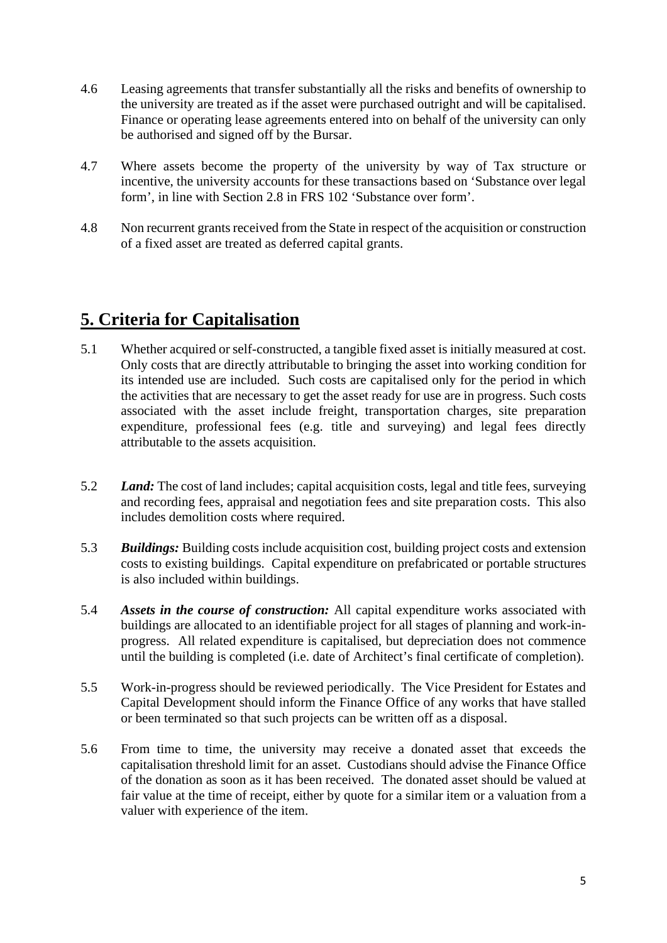- 4.6 Leasing agreements that transfer substantially all the risks and benefits of ownership to the university are treated as if the asset were purchased outright and will be capitalised. Finance or operating lease agreements entered into on behalf of the university can only be authorised and signed off by the Bursar.
- 4.7 Where assets become the property of the university by way of Tax structure or incentive, the university accounts for these transactions based on 'Substance over legal form', in line with Section 2.8 in FRS 102 'Substance over form'.
- 4.8 Non recurrent grants received from the State in respect of the acquisition or construction of a fixed asset are treated as deferred capital grants.

# **5. Criteria for Capitalisation**

- 5.1 Whether acquired or self-constructed, a tangible fixed asset is initially measured at cost. Only costs that are directly attributable to bringing the asset into working condition for its intended use are included. Such costs are capitalised only for the period in which the activities that are necessary to get the asset ready for use are in progress. Such costs associated with the asset include freight, transportation charges, site preparation expenditure, professional fees (e.g. title and surveying) and legal fees directly attributable to the assets acquisition.
- 5.2 *Land:* The cost of land includes; capital acquisition costs, legal and title fees, surveying and recording fees, appraisal and negotiation fees and site preparation costs. This also includes demolition costs where required.
- 5.3 *Buildings:* Building costs include acquisition cost, building project costs and extension costs to existing buildings. Capital expenditure on prefabricated or portable structures is also included within buildings.
- 5.4 *Assets in the course of construction:* All capital expenditure works associated with buildings are allocated to an identifiable project for all stages of planning and work-inprogress. All related expenditure is capitalised, but depreciation does not commence until the building is completed (i.e. date of Architect's final certificate of completion).
- 5.5 Work-in-progress should be reviewed periodically. The Vice President for Estates and Capital Development should inform the Finance Office of any works that have stalled or been terminated so that such projects can be written off as a disposal.
- 5.6 From time to time, the university may receive a donated asset that exceeds the capitalisation threshold limit for an asset. Custodians should advise the Finance Office of the donation as soon as it has been received. The donated asset should be valued at fair value at the time of receipt, either by quote for a similar item or a valuation from a valuer with experience of the item.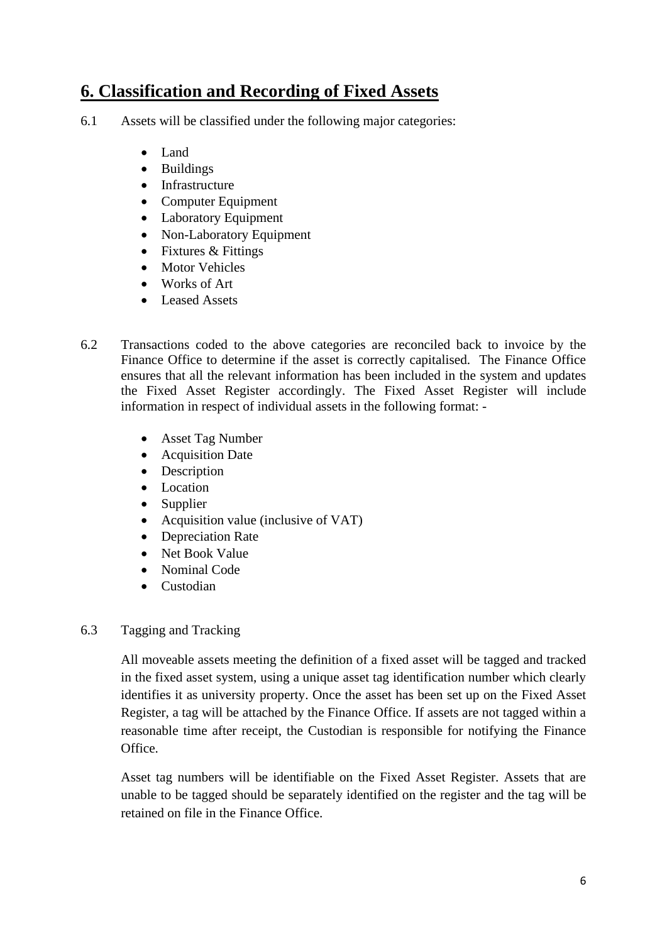# **6. Classification and Recording of Fixed Assets**

- 6.1 Assets will be classified under the following major categories:
	- Land
	- Buildings
	- Infrastructure
	- Computer Equipment
	- Laboratory Equipment
	- Non-Laboratory Equipment
	- Fixtures & Fittings
	- Motor Vehicles
	- Works of Art
	- Leased Assets
- 6.2 Transactions coded to the above categories are reconciled back to invoice by the Finance Office to determine if the asset is correctly capitalised. The Finance Office ensures that all the relevant information has been included in the system and updates the Fixed Asset Register accordingly. The Fixed Asset Register will include information in respect of individual assets in the following format: -
	- Asset Tag Number
	- Acquisition Date
	- Description
	- Location
	- Supplier
	- Acquisition value (inclusive of VAT)
	- Depreciation Rate
	- Net Book Value
	- Nominal Code
	- Custodian

#### 6.3 Tagging and Tracking

All moveable assets meeting the definition of a fixed asset will be tagged and tracked in the fixed asset system, using a unique asset tag identification number which clearly identifies it as university property. Once the asset has been set up on the Fixed Asset Register, a tag will be attached by the Finance Office. If assets are not tagged within a reasonable time after receipt, the Custodian is responsible for notifying the Finance Office.

Asset tag numbers will be identifiable on the Fixed Asset Register. Assets that are unable to be tagged should be separately identified on the register and the tag will be retained on file in the Finance Office.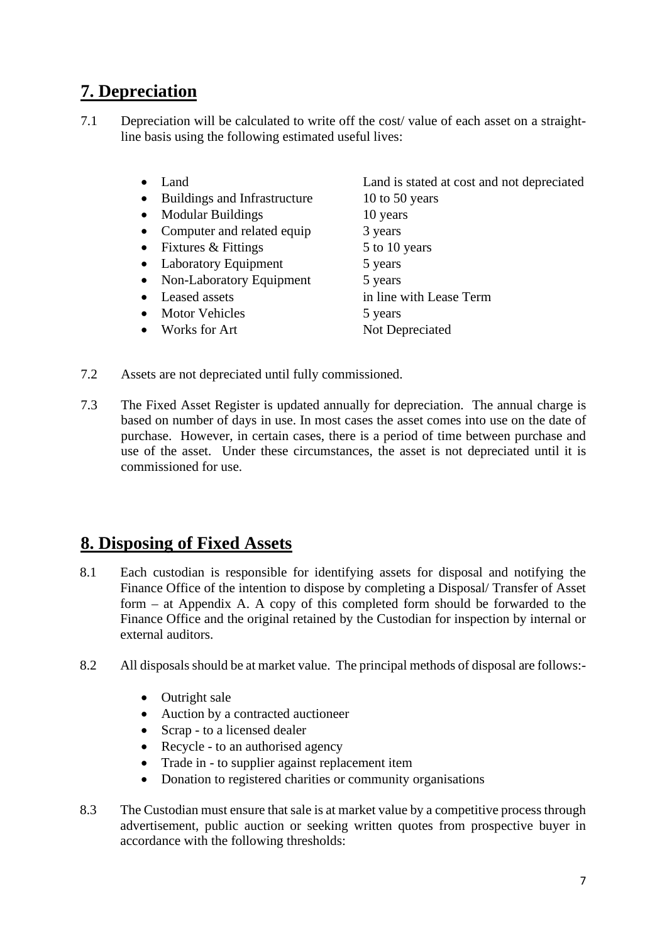# **7. Depreciation**

- 7.1 Depreciation will be calculated to write off the cost/ value of each asset on a straightline basis using the following estimated useful lives:
	-
	- Buildings and Infrastructure 10 to 50 years
	- Modular Buildings 10 years
	- Computer and related equip 3 years
	- Fixtures  $\&$  Fittings  $\qquad 5$  to 10 years
	- Laboratory Equipment 5 years
	- Non-Laboratory Equipment 5 years
	-
	- Motor Vehicles 5 years
	- Works for Art Not Depreciated

• Land **Land is stated at cost and not depreciated** • Leased assets in line with Lease Term

- 7.2 Assets are not depreciated until fully commissioned.
- 7.3 The Fixed Asset Register is updated annually for depreciation. The annual charge is based on number of days in use. In most cases the asset comes into use on the date of purchase. However, in certain cases, there is a period of time between purchase and use of the asset. Under these circumstances, the asset is not depreciated until it is commissioned for use.

# **8. Disposing of Fixed Assets**

- 8.1 Each custodian is responsible for identifying assets for disposal and notifying the Finance Office of the intention to dispose by completing a Disposal/ Transfer of Asset form – at Appendix A. A copy of this completed form should be forwarded to the Finance Office and the original retained by the Custodian for inspection by internal or external auditors.
- 8.2 All disposals should be at market value. The principal methods of disposal are follows:-
	- Outright sale
	- Auction by a contracted auctioneer
	- Scrap to a licensed dealer
	- Recycle to an authorised agency
	- Trade in to supplier against replacement item
	- Donation to registered charities or community organisations
- 8.3 The Custodian must ensure that sale is at market value by a competitive process through advertisement, public auction or seeking written quotes from prospective buyer in accordance with the following thresholds: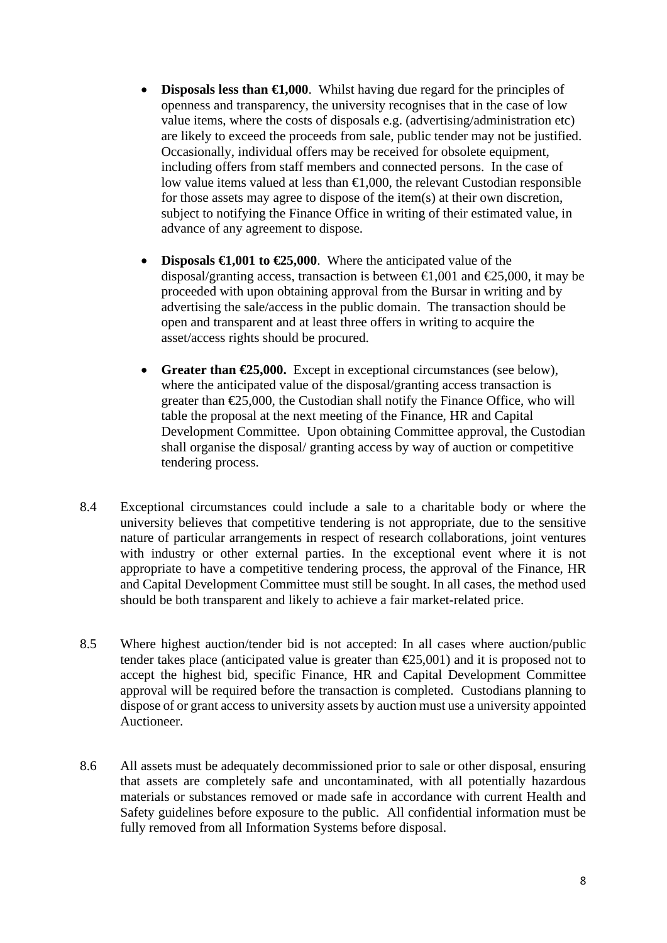- **Disposals less than**  $\bigoplus$ **,000**. Whilst having due regard for the principles of openness and transparency, the university recognises that in the case of low value items, where the costs of disposals e.g. (advertising/administration etc) are likely to exceed the proceeds from sale, public tender may not be justified. Occasionally, individual offers may be received for obsolete equipment, including offers from staff members and connected persons. In the case of low value items valued at less than €1,000, the relevant Custodian responsible for those assets may agree to dispose of the item(s) at their own discretion, subject to notifying the Finance Office in writing of their estimated value, in advance of any agreement to dispose.
- **Disposals**  $\epsilon$ **1,001 to**  $\epsilon$ **25,000**. Where the anticipated value of the disposal/granting access, transaction is between  $\epsilon 1,001$  and  $\epsilon 25,000$ , it may be proceeded with upon obtaining approval from the Bursar in writing and by advertising the sale/access in the public domain. The transaction should be open and transparent and at least three offers in writing to acquire the asset/access rights should be procured.
- **Greater than €25,000.** Except in exceptional circumstances (see below), where the anticipated value of the disposal/granting access transaction is greater than  $\epsilon$ 25,000, the Custodian shall notify the Finance Office, who will table the proposal at the next meeting of the Finance, HR and Capital Development Committee. Upon obtaining Committee approval, the Custodian shall organise the disposal/ granting access by way of auction or competitive tendering process.
- 8.4 Exceptional circumstances could include a sale to a charitable body or where the university believes that competitive tendering is not appropriate, due to the sensitive nature of particular arrangements in respect of research collaborations, joint ventures with industry or other external parties. In the exceptional event where it is not appropriate to have a competitive tendering process, the approval of the Finance, HR and Capital Development Committee must still be sought. In all cases, the method used should be both transparent and likely to achieve a fair market-related price.
- 8.5 Where highest auction/tender bid is not accepted: In all cases where auction/public tender takes place (anticipated value is greater than  $\epsilon$ 25,001) and it is proposed not to accept the highest bid, specific Finance, HR and Capital Development Committee approval will be required before the transaction is completed. Custodians planning to dispose of or grant access to university assets by auction must use a university appointed Auctioneer.
- 8.6 All assets must be adequately decommissioned prior to sale or other disposal, ensuring that assets are completely safe and uncontaminated, with all potentially hazardous materials or substances removed or made safe in accordance with current Health and Safety guidelines before exposure to the public. All confidential information must be fully removed from all Information Systems before disposal.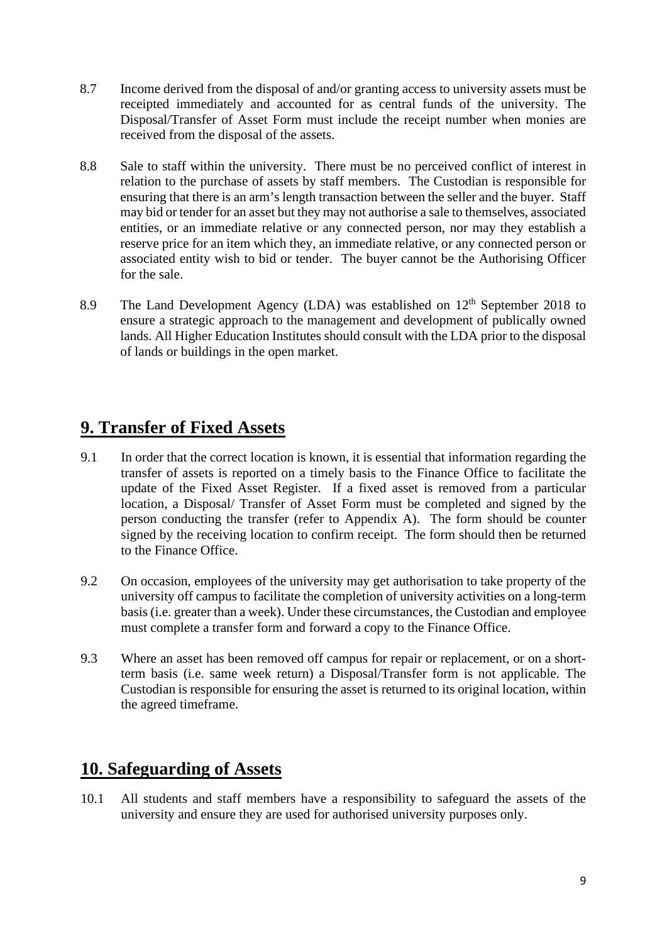- 8.7 Income derived from the disposal of and/or granting access to university assets must be receipted immediately and accounted for as central funds of the university. The Disposal/Transfer of Asset Form must include the receipt number when monies are received from the disposal of the assets.
- 8.8 Sale to staff within the university. There must be no perceived conflict of interest in relation to the purchase of assets by staff members. The Custodian is responsible for ensuring that there is an arm's length transaction between the seller and the buyer. Staff may bid or tender for an asset but they may not authorise a sale to themselves, associated entities, or an immediate relative or any connected person, nor may they establish a reserve price for an item which they, an immediate relative, or any connected person or associated entity wish to bid or tender. The buyer cannot be the Authorising Officer for the sale.
- 8.9 The Land Development Agency (LDA) was established on  $12<sup>th</sup>$  September 2018 to ensure a strategic approach to the management and development of publically owned lands. All Higher Education Institutes should consult with the LDA prior to the disposal of lands or buildings in the open market.

# **9. Transfer of Fixed Assets**

- 9.1 In order that the correct location is known, it is essential that information regarding the transfer of assets is reported on a timely basis to the Finance Office to facilitate the update of the Fixed Asset Register. If a fixed asset is removed from a particular location, a Disposal/ Transfer of Asset Form must be completed and signed by the person conducting the transfer (refer to Appendix A). The form should be counter signed by the receiving location to confirm receipt. The form should then be returned to the Finance Office.
- 9.2 On occasion, employees of the university may get authorisation to take property of the university off campus to facilitate the completion of university activities on a long-term basis (i.e. greater than a week). Under these circumstances, the Custodian and employee must complete a transfer form and forward a copy to the Finance Office.
- 9.3 Where an asset has been removed off campus for repair or replacement, or on a shortterm basis (i.e. same week return) a Disposal/Transfer form is not applicable. The Custodian is responsible for ensuring the asset is returned to its original location, within the agreed timeframe.

# **10. Safeguarding of Assets**

10.1 All students and staff members have a responsibility to safeguard the assets of the university and ensure they are used for authorised university purposes only.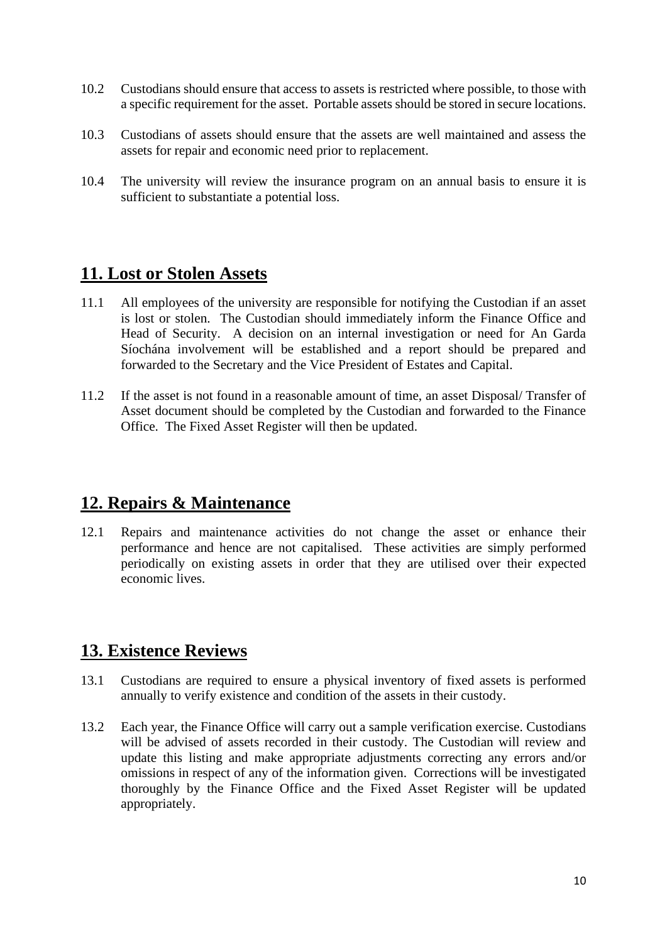- 10.2 Custodians should ensure that access to assets is restricted where possible, to those with a specific requirement for the asset. Portable assets should be stored in secure locations.
- 10.3 Custodians of assets should ensure that the assets are well maintained and assess the assets for repair and economic need prior to replacement.
- 10.4 The university will review the insurance program on an annual basis to ensure it is sufficient to substantiate a potential loss.

#### **11. Lost or Stolen Assets**

- 11.1 All employees of the university are responsible for notifying the Custodian if an asset is lost or stolen. The Custodian should immediately inform the Finance Office and Head of Security. A decision on an internal investigation or need for An Garda Síochána involvement will be established and a report should be prepared and forwarded to the Secretary and the Vice President of Estates and Capital.
- 11.2 If the asset is not found in a reasonable amount of time, an asset Disposal/ Transfer of Asset document should be completed by the Custodian and forwarded to the Finance Office. The Fixed Asset Register will then be updated.

#### **12. Repairs & Maintenance**

12.1 Repairs and maintenance activities do not change the asset or enhance their performance and hence are not capitalised. These activities are simply performed periodically on existing assets in order that they are utilised over their expected economic lives.

# **13. Existence Reviews**

- 13.1 Custodians are required to ensure a physical inventory of fixed assets is performed annually to verify existence and condition of the assets in their custody.
- 13.2 Each year, the Finance Office will carry out a sample verification exercise. Custodians will be advised of assets recorded in their custody. The Custodian will review and update this listing and make appropriate adjustments correcting any errors and/or omissions in respect of any of the information given. Corrections will be investigated thoroughly by the Finance Office and the Fixed Asset Register will be updated appropriately.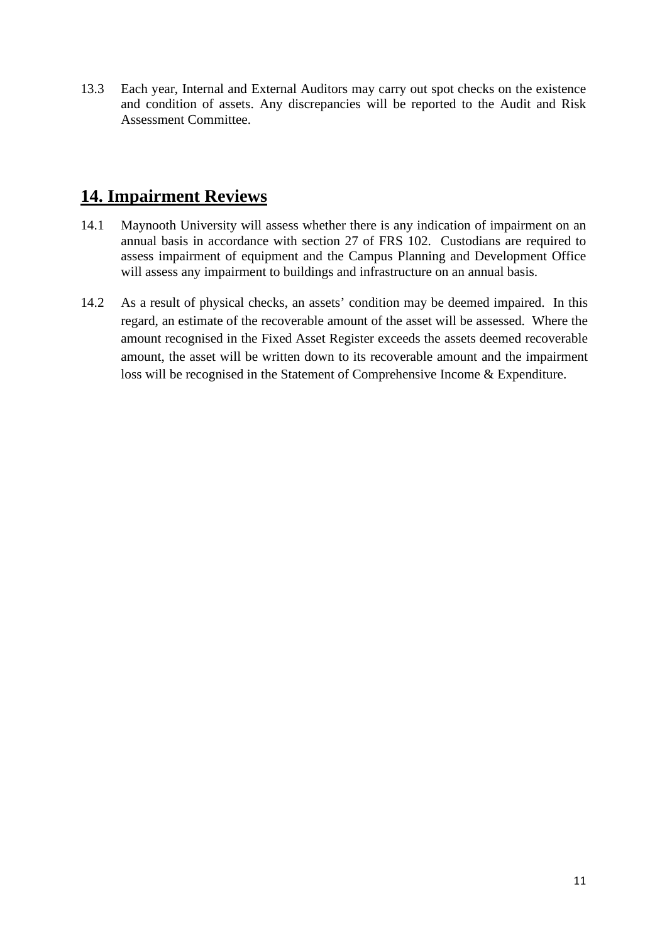13.3 Each year, Internal and External Auditors may carry out spot checks on the existence and condition of assets. Any discrepancies will be reported to the Audit and Risk Assessment Committee.

# **14. Impairment Reviews**

- 14.1 Maynooth University will assess whether there is any indication of impairment on an annual basis in accordance with section 27 of FRS 102. Custodians are required to assess impairment of equipment and the Campus Planning and Development Office will assess any impairment to buildings and infrastructure on an annual basis.
- 14.2 As a result of physical checks, an assets' condition may be deemed impaired. In this regard, an estimate of the recoverable amount of the asset will be assessed. Where the amount recognised in the Fixed Asset Register exceeds the assets deemed recoverable amount, the asset will be written down to its recoverable amount and the impairment loss will be recognised in the Statement of Comprehensive Income & Expenditure.